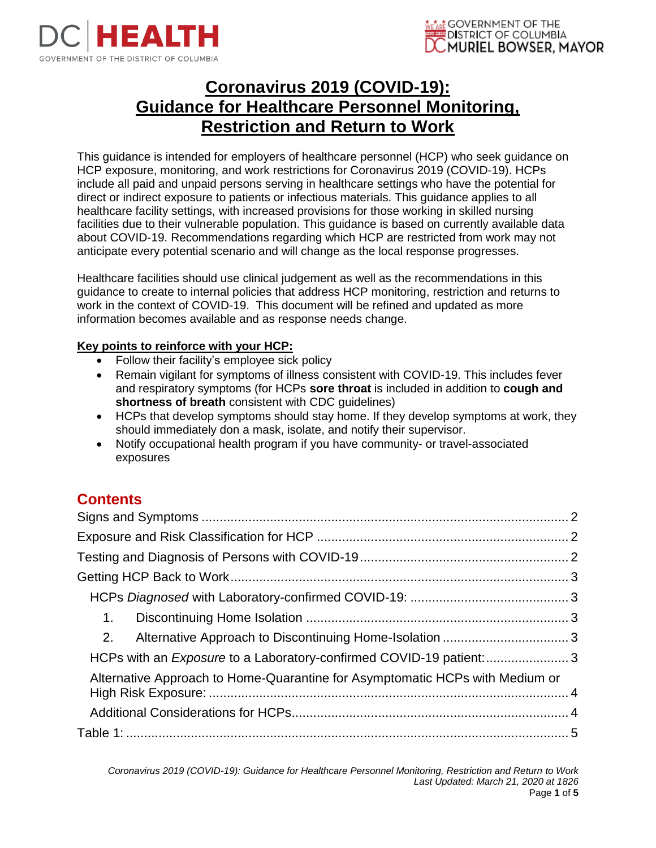



# **Coronavirus 2019 (COVID-19): Guidance for Healthcare Personnel Monitoring, Restriction and Return to Work**

This guidance is intended for employers of healthcare personnel (HCP) who seek guidance on HCP exposure, monitoring, and work restrictions for Coronavirus 2019 (COVID-19). HCPs include all paid and unpaid persons serving in healthcare settings who have the potential for direct or indirect exposure to patients or infectious materials. This guidance applies to all healthcare facility settings, with increased provisions for those working in skilled nursing facilities due to their vulnerable population. This guidance is based on currently available data about COVID-19. Recommendations regarding which HCP are restricted from work may not anticipate every potential scenario and will change as the local response progresses.

Healthcare facilities should use clinical judgement as well as the recommendations in this guidance to create to internal policies that address HCP monitoring, restriction and returns to work in the context of COVID-19. This document will be refined and updated as more information becomes available and as response needs change.

#### **Key points to reinforce with your HCP:**

- Follow their facility's employee sick policy
- Remain vigilant for symptoms of illness consistent with COVID-19. This includes fever and respiratory symptoms (for HCPs **sore throat** is included in addition to **cough and shortness of breath** consistent with CDC guidelines)
- HCPs that develop symptoms should stay home. If they develop symptoms at work, they should immediately don a mask, isolate, and notify their supervisor.
- Notify occupational health program if you have community- or travel-associated exposures

### **Contents**

| 1.                                                                           |  |  |  |  |
|------------------------------------------------------------------------------|--|--|--|--|
| 2.                                                                           |  |  |  |  |
| HCPs with an <i>Exposure</i> to a Laboratory-confirmed COVID-19 patient:3    |  |  |  |  |
| Alternative Approach to Home-Quarantine for Asymptomatic HCPs with Medium or |  |  |  |  |
|                                                                              |  |  |  |  |
|                                                                              |  |  |  |  |
|                                                                              |  |  |  |  |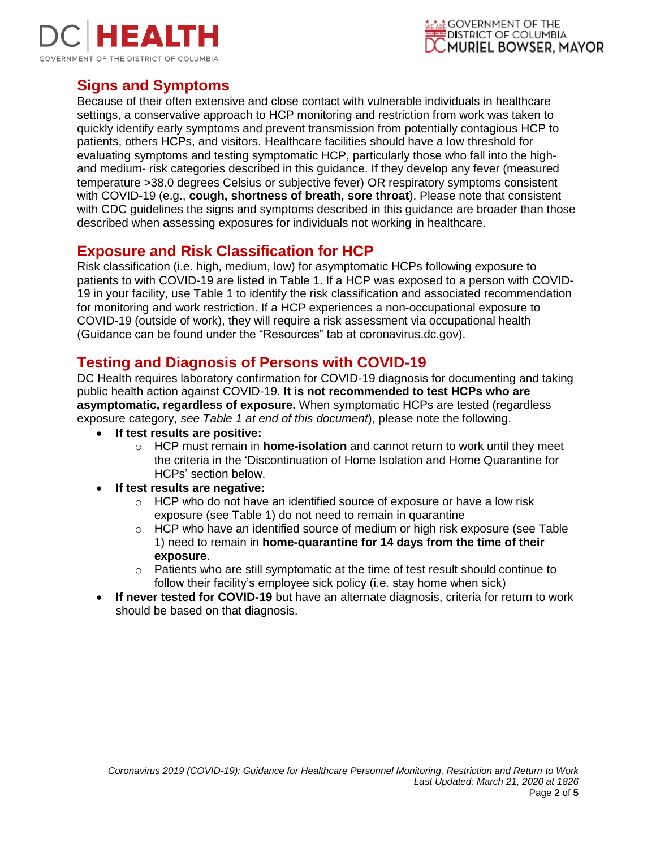



### <span id="page-1-0"></span>**Signs and Symptoms**

Because of their often extensive and close contact with vulnerable individuals in healthcare settings, a conservative approach to HCP monitoring and restriction from work was taken to quickly identify early symptoms and prevent transmission from potentially contagious HCP to patients, others HCPs, and visitors. Healthcare facilities should have a low threshold for evaluating symptoms and testing symptomatic HCP, particularly those who fall into the highand medium- risk categories described in this guidance. If they develop any fever (measured temperature >38.0 degrees Celsius or subjective fever) OR respiratory symptoms consistent with COVID-19 (e.g., **cough, shortness of breath, sore throat**[\).](https://www.cdc.gov/coronavirus/2019-ncov/hcp/guidance-risk-assesment-hcp.html#note1) Please note that consistent with CDC guidelines the signs and symptoms described in this guidance are broader than those described when assessing exposures for individuals not working in healthcare.

### <span id="page-1-1"></span>**Exposure and Risk Classification for HCP**

Risk classification (i.e. high, medium, low) for asymptomatic HCPs following exposure to patients to with COVID-19 are listed in Table 1. If a HCP was exposed to a person with COVID-19 in your facility, use Table 1 to identify the risk classification and associated recommendation for monitoring and work restriction. If a HCP experiences a non-occupational exposure to COVID-19 (outside of work), they will require a risk assessment via occupational health (Guidance can be found under the "Resources" tab at coronavirus.dc.gov).

### <span id="page-1-2"></span>**Testing and Diagnosis of Persons with COVID-19**

DC Health requires laboratory confirmation for COVID-19 diagnosis for documenting and taking public health action against COVID-19. **It is not recommended to test HCPs who are asymptomatic, regardless of exposure.** When symptomatic HCPs are tested (regardless exposure category, *see Table 1 at end of this document*), please note the following.

- **If test results are positive:**
	- o HCP must remain in **home-isolation** and cannot return to work until they meet the criteria in the 'Discontinuation of Home Isolation and Home Quarantine for HCPs' section below.
- **If test results are negative:**
	- o HCP who do not have an identified source of exposure or have a low risk exposure (see Table 1) do not need to remain in quarantine
	- $\circ$  HCP who have an identified source of medium or high risk exposure (see Table 1) need to remain in **home-quarantine for 14 days from the time of their exposure**.
	- $\circ$  Patients who are still symptomatic at the time of test result should continue to follow their facility's employee sick policy (i.e. stay home when sick)
- **If never tested for COVID-19** but have an alternate diagnosis, criteria for return to work should be based on that diagnosis.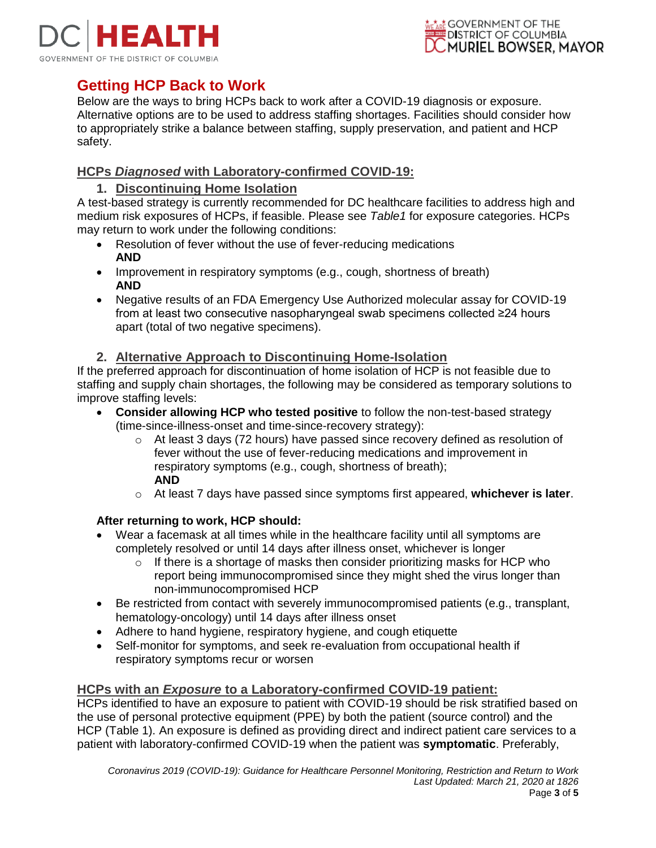



## <span id="page-2-0"></span>**Getting HCP Back to Work**

Below are the ways to bring HCPs back to work after a COVID-19 diagnosis or exposure. Alternative options are to be used to address staffing shortages. Facilities should consider how to appropriately strike a balance between staffing, supply preservation, and patient and HCP safety.

#### <span id="page-2-2"></span><span id="page-2-1"></span>**HCPs** *Diagnosed* **with Laboratory-confirmed COVID-19:**

#### **1. Discontinuing Home Isolation**

A test-based strategy is currently recommended for DC healthcare facilities to address high and medium risk exposures of HCPs, if feasible. Please see *Table1* for exposure categories. HCPs may return to work under the following conditions:

- Resolution of fever without the use of fever-reducing medications **AND**
- Improvement in respiratory symptoms (e.g., cough, shortness of breath) **AND**
- Negative results of an FDA Emergency Use Authorized molecular assay for COVID-19 from at least two consecutive nasopharyngeal swab specimens collected ≥24 hours apart (total of two negative specimens).

#### **2. Alternative Approach to Discontinuing Home-Isolation**

<span id="page-2-3"></span>If the preferred approach for discontinuation of home isolation of HCP is not feasible due to staffing and supply chain shortages, the following may be considered as temporary solutions to improve staffing levels:

- **Consider allowing HCP who tested positive** to follow the non-test-based strategy (time-since-illness-onset and time-since-recovery strategy):
	- $\circ$  At least 3 days (72 hours) have passed since recovery defined as resolution of fever without the use of fever-reducing medications and improvement in respiratory symptoms (e.g., cough, shortness of breath); **AND**
	- o At least 7 days have passed since symptoms first appeared, **whichever is later**.

#### **After returning to work, HCP should:**

- Wear a facemask at all times while in the healthcare facility until all symptoms are completely resolved or until 14 days after illness onset, whichever is longer
	- $\circ$  If there is a shortage of masks then consider prioritizing masks for HCP who report being immunocompromised since they might shed the virus longer than non-immunocompromised HCP
- Be restricted from contact with severely immunocompromised patients (e.g., transplant, hematology-oncology) until 14 days after illness onset
- Adhere to hand hygiene, respiratory hygiene, and cough etiquette
- Self-monitor for symptoms, and seek re-evaluation from occupational health if respiratory symptoms recur or worsen

#### <span id="page-2-4"></span>**HCPs with an** *Exposure* **to a Laboratory-confirmed COVID-19 patient:**

HCPs identified to have an exposure to patient with COVID-19 should be risk stratified based on the use of personal protective equipment (PPE) by both the patient (source control) and the HCP (Table 1). An exposure is defined as providing direct and indirect patient care services to a patient with laboratory-confirmed COVID-19 when the patient was **symptomatic**. Preferably,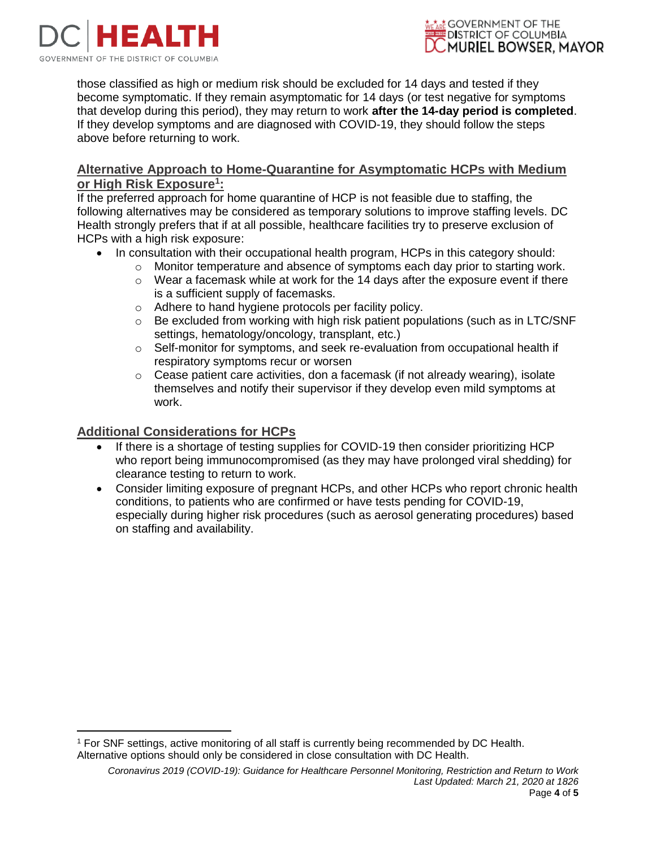



those classified as high or medium risk should be excluded for 14 days and tested if they become symptomatic. If they remain asymptomatic for 14 days (or test negative for symptoms that develop during this period), they may return to work **after the 14-day period is completed**. If they develop symptoms and are diagnosed with COVID-19, they should follow the steps above before returning to work.

#### <span id="page-3-0"></span>**Alternative Approach to Home-Quarantine for Asymptomatic HCPs with Medium or High Risk Exposure 1 :**

If the preferred approach for home quarantine of HCP is not feasible due to staffing, the following alternatives may be considered as temporary solutions to improve staffing levels. DC Health strongly prefers that if at all possible, healthcare facilities try to preserve exclusion of HCPs with a high risk exposure:

- In consultation with their occupational health program, HCPs in this category should:
	- $\circ$  Monitor temperature and absence of symptoms each day prior to starting work.
	- $\circ$  Wear a facemask while at work for the 14 days after the exposure event if there is a sufficient supply of facemasks.
	- o Adhere to hand hygiene protocols per facility policy.
	- $\circ$  Be excluded from working with high risk patient populations (such as in LTC/SNF settings, hematology/oncology, transplant, etc.)
	- o Self-monitor for symptoms, and seek re-evaluation from occupational health if respiratory symptoms recur or worsen
	- $\circ$  Cease patient care activities, don a facemask (if not already wearing), isolate themselves and notify their supervisor if they develop even mild symptoms at work.

#### <span id="page-3-1"></span>**Additional Considerations for HCPs**

 $\overline{a}$ 

- If there is a shortage of testing supplies for COVID-19 then consider prioritizing HCP who report being immunocompromised (as they may have prolonged viral shedding) for clearance testing to return to work.
- Consider limiting exposure of pregnant HCPs, and other HCPs who report chronic health conditions, to patients who are confirmed or have tests pending for COVID-19, especially during higher risk procedures (such as aerosol generating procedures) based on staffing and availability.

<sup>1</sup> For SNF settings, active monitoring of all staff is currently being recommended by DC Health. Alternative options should only be considered in close consultation with DC Health.